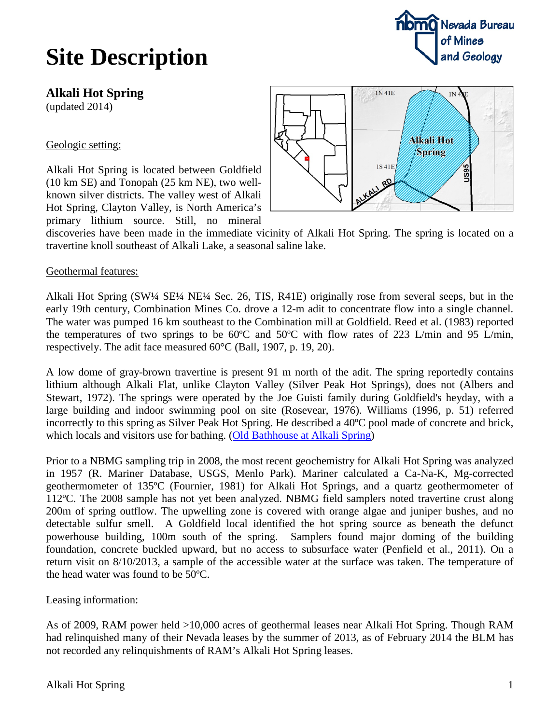## **Site Description**

**Alkali Hot Spring**

(updated 2014)

### Geologic setting:

Alkali Hot Spring is located between Goldfield (10 km SE) and Tonopah (25 km NE), two wellknown silver districts. The valley west of Alkali Hot Spring, Clayton Valley, is North America's primary lithium source. Still, no mineral

discoveries have been made in the immediate vicinity of Alkali Hot Spring. The spring is located on a travertine knoll southeast of Alkali Lake, a seasonal saline lake.

#### Geothermal features:

Alkali Hot Spring (SW¼ SE¼ NE¼ Sec. 26, TIS, R41E) originally rose from several seeps, but in the early 19th century, Combination Mines Co. drove a 12-m adit to concentrate flow into a single channel. The water was pumped 16 km southeast to the Combination mill at Goldfield. Reed et al. (1983) reported the temperatures of two springs to be 60 $\degree$ C and 50 $\degree$ C with flow rates of 223 L/min and 95 L/min, respectively. The adit face measured 60°C (Ball, 1907, p. 19, 20).

A low dome of gray-brown travertine is present 91 m north of the adit. The spring reportedly contains lithium although Alkali Flat, unlike Clayton Valley (Silver Peak Hot Springs), does not (Albers and Stewart, 1972). The springs were operated by the Joe Guisti family during Goldfield's heyday, with a large building and indoor swimming pool on site (Rosevear, 1976). Williams (1996, p. 51) referred incorrectly to this spring as Silver Peak Hot Spring. He described a 40ºC pool made of concrete and brick, which locals and visitors use for bathing. [\(Old Bathhouse at Alkali Spring\)](https://picasaweb.google.com/GreatBasinGeothermalEnergy/AlkaliHotSprings%235424407045394845426)

Prior to a NBMG sampling trip in 2008, the most recent geochemistry for Alkali Hot Spring was analyzed in 1957 (R. Mariner Database, USGS, Menlo Park). Mariner calculated a Ca-Na-K, Mg-corrected geothermometer of 135ºC (Fournier, 1981) for Alkali Hot Springs, and a quartz geothermometer of 112ºC. The 2008 sample has not yet been analyzed. NBMG field samplers noted travertine crust along 200m of spring outflow. The upwelling zone is covered with orange algae and juniper bushes, and no detectable sulfur smell. A Goldfield local identified the hot spring source as beneath the defunct powerhouse building, 100m south of the spring. Samplers found major doming of the building foundation, concrete buckled upward, but no access to subsurface water (Penfield et al., 2011). On a return visit on 8/10/2013, a sample of the accessible water at the surface was taken. The temperature of the head water was found to be 50ºC.

#### Leasing information:

As of 2009, RAM power held >10,000 acres of geothermal leases near Alkali Hot Spring. Though RAM had relinquished many of their Nevada leases by the summer of 2013, as of February 2014 the BLM has not recorded any relinquishments of RAM's Alkali Hot Spring leases.